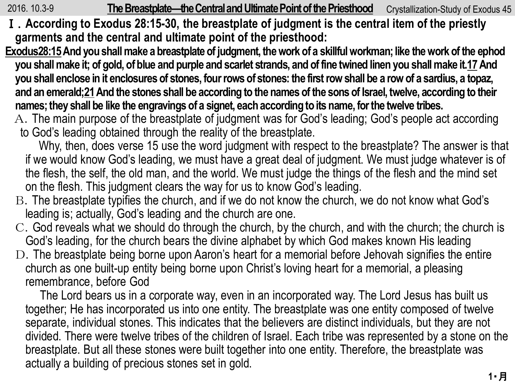2016. 10.3-9 **The Breastplate—the Central and Ultimate Point of the Priesthood** Crystallization-Study of Exodus 45

- Ⅰ.**According to Exodus 28:15-30, the breastplate of judgment is the central item of the priestly garments and the central and ultimate point of the priesthood:**
- **Exodus28:15And you shall make a breastplate of judgment, the work of a skillful workman; like the work of the ephod you shall make it; of gold, of blue and purple and scarlet strands, and of fine twined linen you shall make it.17And you shall enclose in it enclosures of stones, four rows of stones: the first row shall be a row of a sardius, a topaz, and an emerald;21And the stones shall be according to the names of the sons of Israel, twelve, according to their names; they shall be like the engravings of a signet, each according to its name, for the twelve tribes.**
	- A.The main purpose of the breastplate of judgment was for God's leading; God's people act according to God's leading obtained through the reality of the breastplate.

Why, then, does verse 15 use the word judgment with respect to the breastplate? The answer is that if we would know God's leading, we must have a great deal of judgment. We must judge whatever is of the flesh, the self, the old man, and the world. We must judge the things of the flesh and the mind set on the flesh. This judgment clears the way for us to know God's leading.

- B.The breastplate typifies the church, and if we do not know the church, we do not know what God's leading is; actually, God's leading and the church are one.
- C.God reveals what we should do through the church, by the church, and with the church; the church is God's leading, for the church bears the divine alphabet by which God makes known His leading
- D. The breastplate being borne upon Aaron's heart for a memorial before Jehovah signifies the entire church as one built-up entity being borne upon Christ's loving heart for a memorial, a pleasing remembrance, before God

The Lord bears us in a corporate way, even in an incorporated way. The Lord Jesus has built us together; He has incorporated us into one entity. The breastplate was one entity composed of twelve separate, individual stones. This indicates that the believers are distinct individuals, but they are not divided. There were twelve tribes of the children of Israel. Each tribe was represented by a stone on the breastplate. But all these stones were built together into one entity. Therefore, the breastplate was actually a building of precious stones set in gold.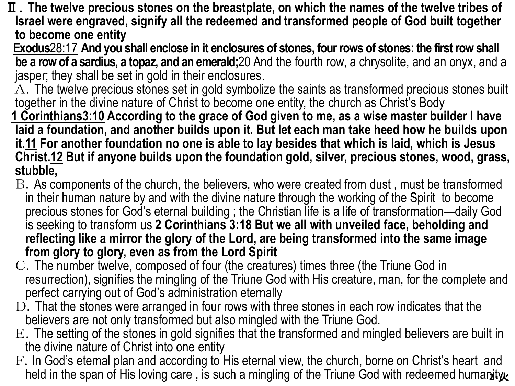- Ⅱ.**The twelve precious stones on the breastplate, on which the names of the twelve tribes of Israel were engraved, signify all the redeemed and transformed people of God built together to become one entity**
- **Exodus**28:17 **And you shall enclose in it enclosures of stones, four rows of stones: the first row shall be a row of a sardius, a topaz, and an emerald;**20 And the fourth row, a chrysolite, and an onyx, and a jasper; they shall be set in gold in their enclosures.
- $\overline{A}$ . The twelve precious stones set in gold symbolize the saints as transformed precious stones built together in the divine nature of Christ to become one entity, the church as Christ's Body
- **1 Corinthians3:10 According to the grace of God given to me, as a wise master builder I have laid a foundation, and another builds upon it. But let each man take heed how he builds upon it.11 For another foundation no one is able to lay besides that which is laid, which is Jesus Christ.12 But if anyone builds upon the foundation gold, silver, precious stones, wood, grass, stubble,**
- B.As components of the church, the believers, who were created from dust , must be transformed in their human nature by and with the divine nature through the working of the Spirit to become precious stones for God's eternal building ; the Christian life is a life of transformation—daily God is seeking to transform us **2 Corinthians 3:18 But we all with unveiled face, beholding and reflecting like a mirror the glory of the Lord, are being transformed into the same image from glory to glory, even as from the Lord Spirit**
- C.The number twelve, composed of four (the creatures) times three (the Triune God in resurrection), signifies the mingling of the Triune God with His creature, man, for the complete and perfect carrying out of God's administration eternally
- $D$ . That the stones were arranged in four rows with three stones in each row indicates that the believers are not only transformed but also mingled with the Triune God.
- E.The setting of the stones in gold signifies that the transformed and mingled believers are built in the divine nature of Christ into one entity
- held in the span of His loving care , is such a mingling of the Triune God with redeemed huma**nity**. F. In God's eternal plan and according to His eternal view, the church, borne on Christ's heart and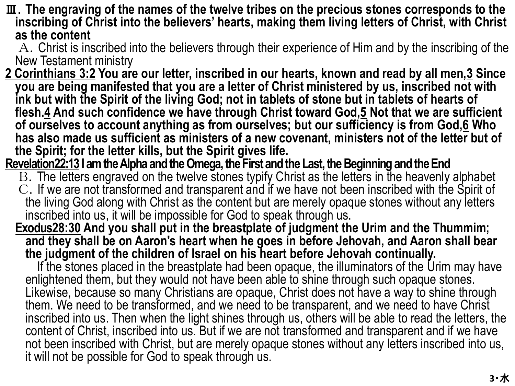- Ⅲ.**The engraving of the names of the twelve tribes on the precious stones corresponds to the inscribing of Christ into the believers' hearts, making them living letters of Christ, with Christ as the content**
	- A.Christ is inscribed into the believers through their experience of Him and by the inscribing of the New Testament ministry
- **2 Corinthians 3:2 You are our letter, inscribed in our hearts, known and read by all men,3 Since you are being manifested that you are a letter of Christ ministered by us, inscribed not with ink but with the Spirit of the living God; not in tablets of stone but in tablets of hearts of flesh.4 And such confidence we have through Christ toward God,5 Not that we are sufficient of ourselves to account anything as from ourselves; but our sufficiency is from God,6 Who has also made us sufficient as ministers of a new covenant, ministers not of the letter but of the Spirit; for the letter kills, but the Spirit gives life.**
- **Revelation22:13 I am the Alpha and the Omega, the First and the Last, the Beginning and the End**
	- B.The letters engraved on the twelve stones typify Christ as the letters in the heavenly alphabet C.If we are not transformed and transparent and if we have not been inscribed with the Spirit of the living God along with Christ as the content but are merely opaque stones without any letters inscribed into us, it will be impossible for God to speak through us.
	- **Exodus28:30 And you shall put in the breastplate of judgment the Urim and the Thummim; and they shall be on Aaron's heart when he goes in before Jehovah, and Aaron shall bear the judgment of the children of Israel on his heart before Jehovah continually.**

If the stones placed in the breastplate had been opaque, the illuminators of the Urim may have enlightened them, but they would not have been able to shine through such opaque stones. Likewise, because so many Christians are opaque, Christ does not have a way to shine through them. We need to be transformed, and we need to be transparent, and we need to have Christ inscribed into us. Then when the light shines through us, others will be able to read the letters, the content of Christ, inscribed into us. But if we are not transformed and transparent and if we have not been inscribed with Christ, but are merely opaque stones without any letters inscribed into us, it will not be possible for God to speak through us.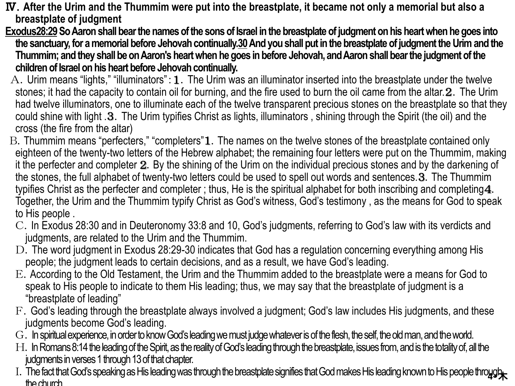- Ⅳ.**After the Urim and the Thummim were put into the breastplate, it became not only a memorial but also a breastplate of judgment**
- **Exodus28:29So Aaron shall bear the names of the sons of Israel in the breastplate of judgment on his heart when he goes into**  the sanctuary, for a memorial before Jehovah continually.30 And you shall put in the breastplate of judgment the Urim and the **Thummim; and they shall be on Aaron's heart when he goes in before Jehovah, and Aaron shall bear the judgment of the children of Israel on his heart before Jehovah continually.**
- A. Urim means "lights," "illuminators":  $1$ . The Urim was an illuminator inserted into the breastplate under the twelve stones; it had the capacity to contain oil for burning, and the fire used to burn the oil came from the altar. 2. The Urim had twelve illuminators, one to illuminate each of the twelve transparent precious stones on the breastplate so that they could shine with light .3.The Urim typifies Christ as lights, illuminators , shining through the Spirit (the oil) and the cross (the fire from the altar)
- B. Thummim means "perfecters," "completers"1. The names on the twelve stones of the breastplate contained only eighteen of the twenty-two letters of the Hebrew alphabet; the remaining four letters were put on the Thummim, making it the perfecter and completer 2. By the shining of the Urim on the individual precious stones and by the darkening of the stones, the full alphabet of twenty-two letters could be used to spell out words and sentences.3.The Thummim typifies Christ as the perfecter and completer ; thus, He is the spiritual alphabet for both inscribing and completing4. Together, the Urim and the Thummim typify Christ as God's witness, God's testimony , as the means for God to speak to His people .
- C.In Exodus 28:30 and in Deuteronomy 33:8 and 10, God's judgments, referring to God's law with its verdicts and judgments, are related to the Urim and the Thummim.
- D. The word judgment in Exodus 28:29-30 indicates that God has a regulation concerning everything among His people; the judgment leads to certain decisions, and as a result, we have God's leading.
- E.According to the Old Testament, the Urim and the Thummim added to the breastplate were a means for God to speak to His people to indicate to them His leading; thus, we may say that the breastplate of judgment is a "breastplate of leading"
- F.God's leading through the breastplate always involved a judgment; God's law includes His judgments, and these judgments become God's leading.
- G. In spiritual experience, in order to know God's leading we must judge whatever is of the flesh, the self, the old man, and the world.
- H. In Romans 8:14 the leading of the Spirit, as the reality of God's leading through the breastplate, issues from, and is the totality of, all the judgments in verses 1 through 13 of that chapter.
- 1. The fact that God's speaking as His leading was through the breastplate signifies that God makes His leading known to His people through the state of the state of the state of the state of the state of the state of the the church.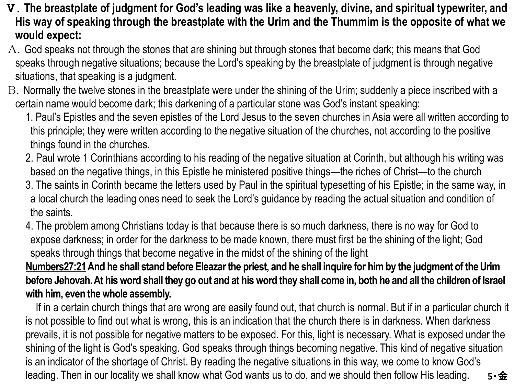- Ⅴ.**The breastplate of judgment for God's leading was like a heavenly, divine, and spiritual typewriter, and His way of speaking through the breastplate with the Urim and the Thummim is the opposite of what we would expect:**
- A.God speaks not through the stones that are shining but through stones that become dark; this means that God speaks through negative situations; because the Lord's speaking by the breastplate of judgment is through negative situations, that speaking is a judgment.
- B. Normally the twelve stones in the breastplate were under the shining of the Urim; suddenly a piece inscribed with a certain name would become dark; this darkening of a particular stone was God's instant speaking:
	- 1. Paul's Epistles and the seven epistles of the Lord Jesus to the seven churches in Asia were all written according to this principle; they were written according to the negative situation of the churches, not according to the positive things found in the churches.
	- 2. Paul wrote 1 Corinthians according to his reading of the negative situation at Corinth, but although his writing was based on the negative things, in this Epistle he ministered positive things—the riches of Christ—to the church
	- 3. The saints in Corinth became the letters used by Paul in the spiritual typesetting of his Epistle; in the same way, in a local church the leading ones need to seek the Lord's guidance by reading the actual situation and condition of the saints.
	- 4. The problem among Christians today is that because there is so much darkness, there is no way for God to expose darkness; in order for the darkness to be made known, there must first be the shining of the light; God speaks through things that become negative in the midst of the shining of the light

**Numbers27:21And he shall stand before Eleazarthe priest, and he shall inquire for him by the judgment of the Urim before Jehovah. At his word shall they go out and at his word they shall come in, both he and all the children of Israel with him, even the whole assembly.**

If in a certain church things that are wrong are easily found out, that church is normal. But if in a particular church it is not possible to find out what is wrong, this is an indication that the church there is in darkness. When darkness prevails, it is not possible for negative matters to be exposed. For this, light is necessary. What is exposed under the shining of the light is God's speaking. God speaks through things becoming negative. This kind of negative situation is an indicator of the shortage of Christ. By reading the negative situations in this way, we come to know God's leading. Then in our locality we shall know what God wants us to do, and we should then follow His leading. **5**・金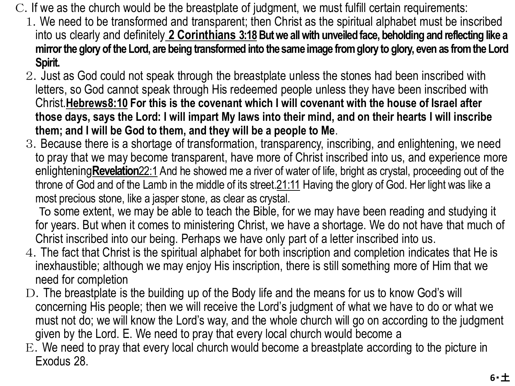- C.If we as the church would be the breastplate of judgment, we must fulfill certain requirements:
	- 1.We need to be transformed and transparent; then Christ as the spiritual alphabet must be inscribed into us clearly and definitely 2 Corinthians 3:18 But we all with unveiled face, beholding and reflecting like a **mirror the glory of the Lord, are being transformed into the same image from glory to glory, even as from the Lord Spirit.**
	- 2.Just as God could not speak through the breastplate unless the stones had been inscribed with letters, so God cannot speak through His redeemed people unless they have been inscribed with Christ.**Hebrews8:10 For this is the covenant which I will covenant with the house of Israel after those days, says the Lord: I will impart My laws into their mind, and on their hearts I will inscribe them; and I will be God to them, and they will be a people to Me**.
	- 3.Because there is a shortage of transformation, transparency, inscribing, and enlightening, we need to pray that we may become transparent, have more of Christ inscribed into us, and experience more enlightening**Revelation**22:1 And he showed me a river of water of life, bright as crystal, proceeding out of the throne of God and of the Lamb in the middle of its street.21:11 Having the glory of God. Her light was like a most precious stone, like a jasper stone, as clear as crystal.

To some extent, we may be able to teach the Bible, for we may have been reading and studying it for years. But when it comes to ministering Christ, we have a shortage. We do not have that much of Christ inscribed into our being. Perhaps we have only part of a letter inscribed into us.

- 4.The fact that Christ is the spiritual alphabet for both inscription and completion indicates that He is inexhaustible; although we may enjoy His inscription, there is still something more of Him that we need for completion
- D. The breastplate is the building up of the Body life and the means for us to know God's will concerning His people; then we will receive the Lord's judgment of what we have to do or what we must not do; we will know the Lord's way, and the whole church will go on according to the judgment given by the Lord. E. We need to pray that every local church would become a
- E.We need to pray that every local church would become a breastplate according to the picture in Exodus 28.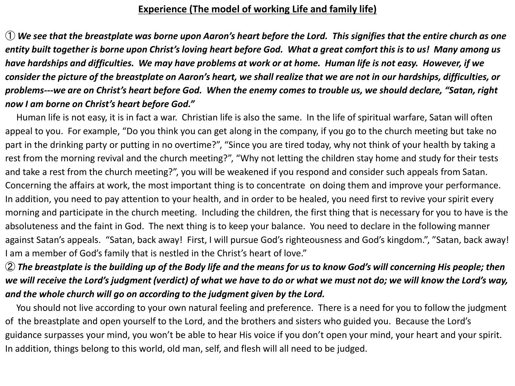## **Experience (The model of working Life and family life)**

① *We see that the breastplate was borne upon Aaron's heart before the Lord. This signifies that the entire church as one entity built together is borne upon Christ's loving heart before God. What a great comfort this is to us! Many among us have hardships and difficulties. We may have problems at work or at home. Human life is not easy. However, if we consider the picture of the breastplate on Aaron's heart, we shall realize that we are not in our hardships, difficulties, or problems---we are on Christ's heart before God. When the enemy comes to trouble us, we should declare, "Satan, right now I am borne on Christ's heart before God."*

Human life is not easy, it is in fact a war. Christian life is also the same. In the life of spiritual warfare, Satan will often appeal to you. For example, "Do you think you can get along in the company, if you go to the church meeting but take no part in the drinking party or putting in no overtime?", "Since you are tired today, why not think of your health by taking a rest from the morning revival and the church meeting?", "Why not letting the children stay home and study for their tests and take a rest from the church meeting?", you will be weakened if you respond and consider such appeals from Satan. Concerning the affairs at work, the most important thing is to concentrate on doing them and improve your performance. In addition, you need to pay attention to your health, and in order to be healed, you need first to revive your spirit every morning and participate in the church meeting. Including the children, the first thing that is necessary for you to have is the absoluteness and the faint in God. The next thing is to keep your balance. You need to declare in the following manner against Satan's appeals. "Satan, back away! First, I will pursue God's righteousness and God's kingdom.", "Satan, back away! I am a member of God's family that is nestled in the Christ's heart of love."

## ② *The breastplate is the building up of the Body life and the means for us to know God's will concerning His people; then we will receive the Lord's judgment (verdict) of what we have to do or what we must not do; we will know the Lord's way, and the whole church will go on according to the judgment given by the Lord.*

You should not live according to your own natural feeling and preference. There is a need for you to follow the judgment of the breastplate and open yourself to the Lord, and the brothers and sisters who guided you. Because the Lord's guidance surpasses your mind, you won't be able to hear His voice if you don't open your mind, your heart and your spirit. In addition, things belong to this world, old man, self, and flesh will all need to be judged.